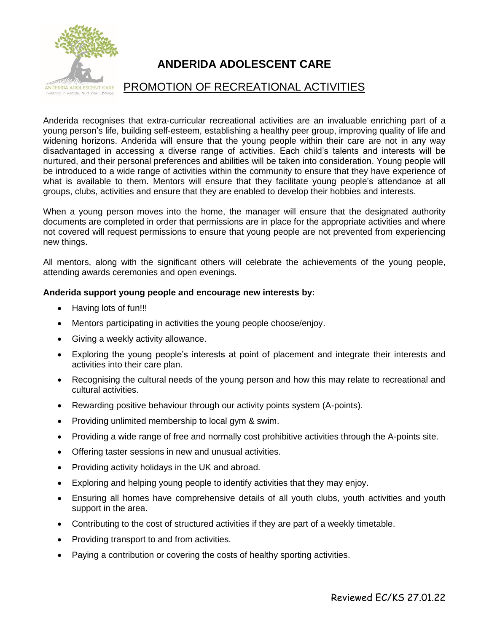

## **ANDERIDA ADOLESCENT CARE**

## PROMOTION OF RECREATIONAL ACTIVITIES

Anderida recognises that extra-curricular recreational activities are an invaluable enriching part of a young person's life, building self-esteem, establishing a healthy peer group, improving quality of life and widening horizons. Anderida will ensure that the young people within their care are not in any way disadvantaged in accessing a diverse range of activities. Each child's talents and interests will be nurtured, and their personal preferences and abilities will be taken into consideration. Young people will be introduced to a wide range of activities within the community to ensure that they have experience of what is available to them. Mentors will ensure that they facilitate young people's attendance at all groups, clubs, activities and ensure that they are enabled to develop their hobbies and interests.

When a young person moves into the home, the manager will ensure that the designated authority documents are completed in order that permissions are in place for the appropriate activities and where not covered will request permissions to ensure that young people are not prevented from experiencing new things.

All mentors, along with the significant others will celebrate the achievements of the young people, attending awards ceremonies and open evenings.

## **Anderida support young people and encourage new interests by:**

- Having lots of fun!!!
- Mentors participating in activities the young people choose/enjoy.
- Giving a weekly activity allowance.
- Exploring the young people's interests at point of placement and integrate their interests and activities into their care plan.
- Recognising the cultural needs of the young person and how this may relate to recreational and cultural activities.
- Rewarding positive behaviour through our activity points system (A-points).
- Providing unlimited membership to local gym & swim.
- Providing a wide range of free and normally cost prohibitive activities through the A-points site.
- Offering taster sessions in new and unusual activities.
- Providing activity holidays in the UK and abroad.
- Exploring and helping young people to identify activities that they may enjoy.
- Ensuring all homes have comprehensive details of all youth clubs, youth activities and youth support in the area.
- Contributing to the cost of structured activities if they are part of a weekly timetable.
- Providing transport to and from activities.
- Paying a contribution or covering the costs of healthy sporting activities.